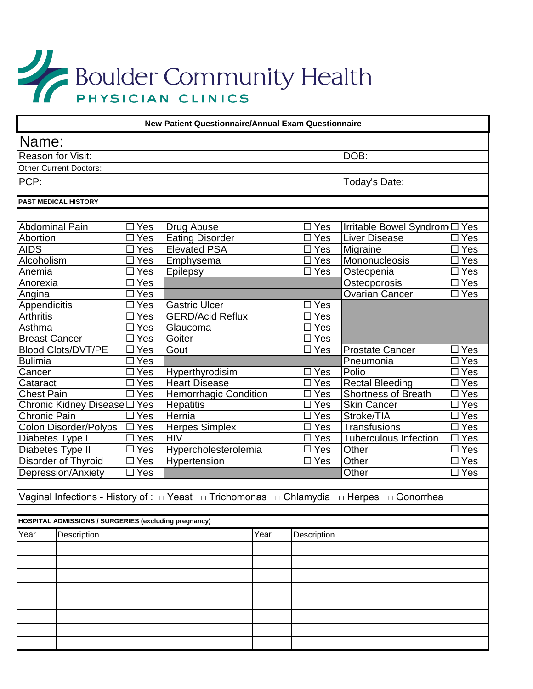## Boulder Community Health

| <b>New Patient Questionnaire/Annual Exam Questionnaire</b>                   |                                                       |                        |                                     |      |                             |                                                                                          |                                         |  |  |  |
|------------------------------------------------------------------------------|-------------------------------------------------------|------------------------|-------------------------------------|------|-----------------------------|------------------------------------------------------------------------------------------|-----------------------------------------|--|--|--|
| Name:                                                                        |                                                       |                        |                                     |      |                             |                                                                                          |                                         |  |  |  |
| <b>Reason for Visit:</b>                                                     |                                                       |                        |                                     |      |                             | DOB:                                                                                     |                                         |  |  |  |
|                                                                              | <b>Other Current Doctors:</b>                         |                        |                                     |      |                             |                                                                                          |                                         |  |  |  |
| PCP:                                                                         |                                                       |                        |                                     |      |                             | Today's Date:                                                                            |                                         |  |  |  |
|                                                                              | <b>PAST MEDICAL HISTORY</b>                           |                        |                                     |      |                             |                                                                                          |                                         |  |  |  |
|                                                                              |                                                       |                        |                                     |      |                             |                                                                                          |                                         |  |  |  |
| <b>Abdominal Pain</b>                                                        |                                                       | $\overline{\Box}$ Yes  | <b>Drug Abuse</b>                   |      | $\Box$ Yes                  | Irritable Bowel Syndrom(□ Yes                                                            |                                         |  |  |  |
| Abortion                                                                     |                                                       | $\overline{\Box}$ Yes  | <b>Eating Disorder</b>              |      | $\square$ Yes               | <b>Liver Disease</b>                                                                     | $\square$ Yes                           |  |  |  |
| <b>AIDS</b><br>$\overline{\Box Y}$ es<br>Alcoholism<br>$\overline{\Box}$ Yes |                                                       |                        | <b>Elevated PSA</b><br>Emphysema    |      | $\Box$ Yes<br>$\square$ Yes | Migraine<br>$\square$ Yes<br>Mononucleosis<br>$\overline{\Box}$ Yes                      |                                         |  |  |  |
| Anemia<br>$\Box$ Yes                                                         |                                                       |                        | Epilepsy                            |      | $\Box$ Yes                  | Osteopenia<br>$\Box$ Yes                                                                 |                                         |  |  |  |
| Anorexia                                                                     |                                                       | $\square$ Yes          |                                     |      |                             | Osteoporosis                                                                             | $\square$ Yes                           |  |  |  |
| $\square$ Yes<br>Angina                                                      |                                                       |                        |                                     |      |                             | <b>Ovarian Cancer</b><br>$\overline{\Box}$ Yes                                           |                                         |  |  |  |
| Appendicitis<br>$\overline{\Box}$ Yes                                        |                                                       |                        | Gastric Ulcer                       |      | $\Box$ Yes                  |                                                                                          |                                         |  |  |  |
| <b>Arthritis</b><br>$\Box$ Yes                                               |                                                       |                        | <b>GERD/Acid Reflux</b>             |      | $\Box$ Yes                  |                                                                                          |                                         |  |  |  |
| Asthma<br>$\overline{\Box}$ Yes                                              |                                                       |                        | Glaucoma                            |      | $\overline{\Box}$ Yes       |                                                                                          |                                         |  |  |  |
| <b>Breast Cancer</b>                                                         |                                                       | $\square$ Yes          | Goiter                              |      | $\square$ Yes               |                                                                                          |                                         |  |  |  |
| <b>Blood Clots/DVT/PE</b>                                                    |                                                       | $\Box$ Yes             | Gout                                |      | $\Box$ Yes                  | <b>Prostate Cancer</b>                                                                   | $\square$ Yes                           |  |  |  |
| <b>Bulimia</b>                                                               |                                                       | $\Box$ Yes             |                                     |      |                             | Pneumonia                                                                                | $\square$ Yes                           |  |  |  |
| Cancer<br>$\overline{\Box}$ Yes                                              |                                                       |                        | Hyperthyrodisim                     |      | $\Box$ Yes                  | Polio                                                                                    | $\square$ Yes<br>$\square$ Yes          |  |  |  |
| Cataract<br>$\Box$                                                           |                                                       | Yes                    | <b>Heart Disease</b>                |      |                             | <b>Rectal Bleeding</b><br>$\square$ Yes                                                  |                                         |  |  |  |
| <b>Chest Pain</b>                                                            |                                                       | $\square$ Yes          | <b>Hemorrhagic Condition</b>        |      |                             | <b>Shortness of Breath</b><br>$\square$ Yes                                              |                                         |  |  |  |
| Chronic Kidney Disease DYes                                                  |                                                       |                        | <b>Hepatitis</b>                    |      | $\overline{\Box}$ Yes       | Skin Cancer<br>Stroke/TIA                                                                | $\square$ Yes                           |  |  |  |
| <b>Chronic Pain</b>                                                          |                                                       | $\Box$ Yes             | Hernia                              |      | $\square$ Yes               | $\square$ Yes                                                                            |                                         |  |  |  |
| Colon Disorder/Polyps □ Yes                                                  |                                                       | $\square$ Yes          | <b>Herpes Simplex</b><br><b>HIV</b> |      | $\Box$ Yes<br>$\Box$ Yes    | Transfusions<br><b>Tuberculous Infection</b>                                             | $\square$ Yes<br>$\overline{\Box Y}$ es |  |  |  |
| Diabetes Type I<br>Diabetes Type II                                          |                                                       | $\overline{\Box Y}$ es | Hypercholesterolemia                |      | $\Box$ Yes                  | Other                                                                                    | $\overline{\Box}$ Yes                   |  |  |  |
| Disorder of Thyroid                                                          |                                                       | $\square$ Yes          | Hypertension                        |      | $\square$ Yes               | Other                                                                                    | $\square$ Yes                           |  |  |  |
| Depression/Anxiety                                                           |                                                       | $\overline{\Box}$ Yes  |                                     |      |                             | Other                                                                                    | $\square$ Yes                           |  |  |  |
|                                                                              |                                                       |                        |                                     |      |                             |                                                                                          |                                         |  |  |  |
|                                                                              |                                                       |                        |                                     |      |                             | Vaginal Infections - History of : □ Yeast □ Trichomonas □ Chlamydia □ Herpes □ Gonorrhea |                                         |  |  |  |
|                                                                              |                                                       |                        |                                     |      |                             |                                                                                          |                                         |  |  |  |
|                                                                              | HOSPITAL ADMISSIONS / SURGERIES (excluding pregnancy) |                        |                                     |      |                             |                                                                                          |                                         |  |  |  |
| Year                                                                         | Description                                           |                        |                                     | Year | Description                 |                                                                                          |                                         |  |  |  |
|                                                                              |                                                       |                        |                                     |      |                             |                                                                                          |                                         |  |  |  |
|                                                                              |                                                       |                        |                                     |      |                             |                                                                                          |                                         |  |  |  |
|                                                                              |                                                       |                        |                                     |      |                             |                                                                                          |                                         |  |  |  |
|                                                                              |                                                       |                        |                                     |      |                             |                                                                                          |                                         |  |  |  |
|                                                                              |                                                       |                        |                                     |      |                             |                                                                                          |                                         |  |  |  |
|                                                                              |                                                       |                        |                                     |      |                             |                                                                                          |                                         |  |  |  |
|                                                                              |                                                       |                        |                                     |      |                             |                                                                                          |                                         |  |  |  |
|                                                                              |                                                       |                        |                                     |      |                             |                                                                                          |                                         |  |  |  |
|                                                                              |                                                       |                        |                                     |      |                             |                                                                                          |                                         |  |  |  |
|                                                                              |                                                       |                        |                                     |      |                             |                                                                                          |                                         |  |  |  |